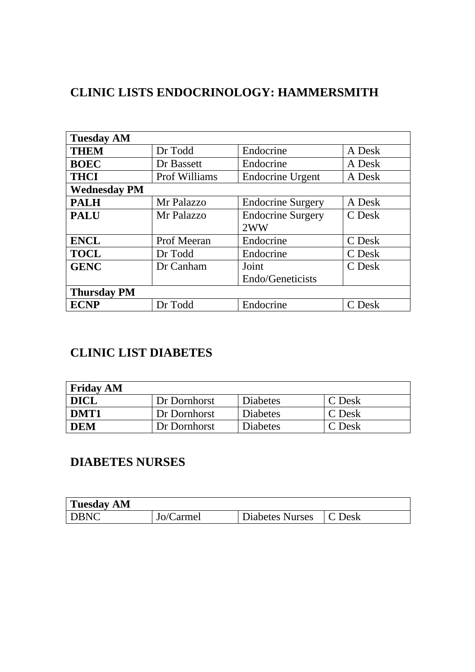### **CLINIC LISTS ENDOCRINOLOGY: HAMMERSMITH**

| <b>Tuesday AM</b>   |               |                          |        |
|---------------------|---------------|--------------------------|--------|
| <b>THEM</b>         | Dr Todd       | Endocrine                | A Desk |
| <b>BOEC</b>         | Dr Bassett    | Endocrine                | A Desk |
| <b>THCI</b>         | Prof Williams | <b>Endocrine Urgent</b>  | A Desk |
| <b>Wednesday PM</b> |               |                          |        |
| <b>PALH</b>         | Mr Palazzo    | <b>Endocrine Surgery</b> | A Desk |
| <b>PALU</b>         | Mr Palazzo    | <b>Endocrine Surgery</b> | C Desk |
|                     |               | 2WW                      |        |
| <b>ENCL</b>         | Prof Meeran   | Endocrine                | C Desk |
| <b>TOCL</b>         | Dr Todd       | Endocrine                | C Desk |
| <b>GENC</b>         | Dr Canham     | Joint                    | C Desk |
|                     |               | Endo/Geneticists         |        |
| <b>Thursday PM</b>  |               |                          |        |
| <b>ECNP</b>         | Dr Todd       | Endocrine                | C Desk |

## **CLINIC LIST DIABETES**

| <b>Friday AM</b> |              |                 |        |
|------------------|--------------|-----------------|--------|
| <b>DICL</b>      | Dr Dornhorst | <b>Diabetes</b> | C Desk |
| DMT1             | Dr Dornhorst | <b>Diabetes</b> | C Desk |
| <b>DEM</b>       | Dr Dornhorst | <b>Diabetes</b> | C Desk |

# **DIABETES NURSES**

| <b>Tuesday AM</b> |           |                 |                   |
|-------------------|-----------|-----------------|-------------------|
| <b>DBNC</b>       | Jo/Carmel | Diabetes Nurses | $\mathsf{C}$ Desk |